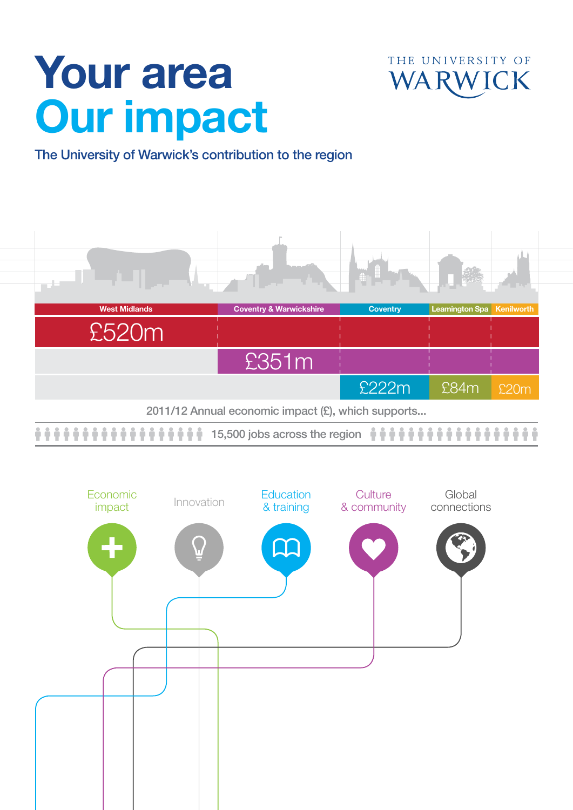# Your area Our impact



### The University of Warwick's contribution to the region



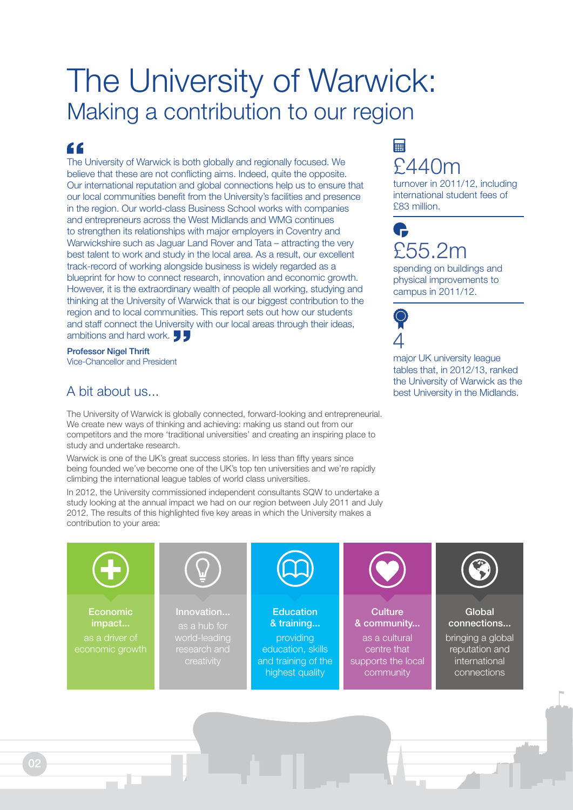# The University of Warwick: Making a contribution to our region

### "

The University of Warwick is both globally and regionally focused. We believe that these are not conflicting aims. Indeed, quite the opposite. Our international reputation and global connections help us to ensure that our local communities benefit from the University's facilities and presence in the region. Our world-class Business School works with companies and entrepreneurs across the West Midlands and WMG continues to strengthen its relationships with major employers in Coventry and Warwickshire such as Jaguar Land Rover and Tata – attracting the very best talent to work and study in the local area. As a result, our excellent track-record of working alongside business is widely regarded as a blueprint for how to connect research, innovation and economic growth. However, it is the extraordinary wealth of people all working, studying and thinking at the University of Warwick that is our biggest contribution to the region and to local communities. This report sets out how our students and staff connect the University with our local areas through their ideas, ambitions and hard work.

Professor Nigel Thrift Vice-Chancellor and President

The University of Warwick is globally connected, forward-looking and entrepreneurial. We create new ways of thinking and achieving: making us stand out from our competitors and the more 'traditional universities' and creating an inspiring place to study and undertake research.

Warwick is one of the UK's great success stories. In less than fifty years since being founded we've become one of the UK's top ten universities and we're rapidly climbing the international league tables of world class universities.

In 2012, the University commissioned independent consultants SQW to undertake a study looking at the annual impact we had on our region between July 2011 and July 2012. The results of this highlighted five key areas in which the University makes a contribution to your area:

creativity

# 畐 £440m

turnover in 2011/12, including international student fees of £83 million.

# G £55.2m

spending on buildings and physical improvements to campus in 2011/12.

4

supports the local community

major UK university league tables that, in 2012/13, ranked the University of Warwick as the A bit about us...

> international connections



and training of the highest quality

02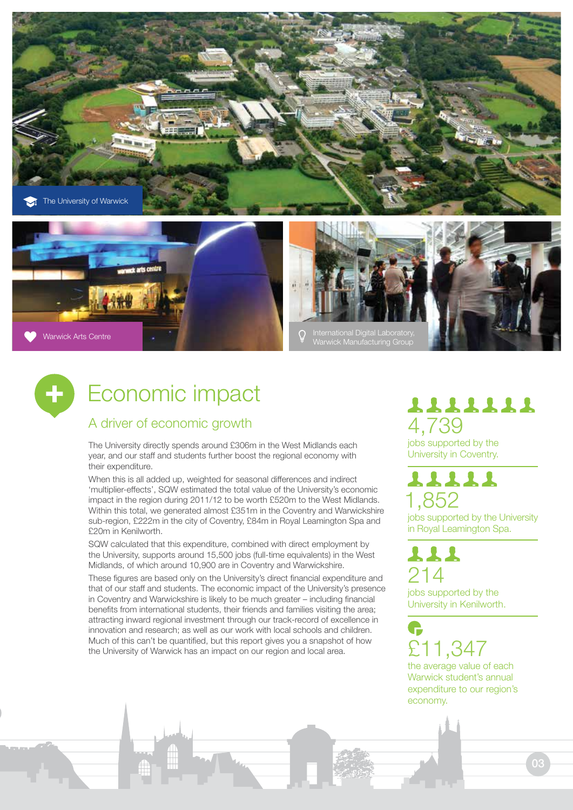

Warwick Arts Centre



# Economic impact

#### A driver of economic growth

The University directly spends around £306m in the West Midlands each year, and our staff and students further boost the regional economy with their expenditure.

When this is all added up, weighted for seasonal differences and indirect 'multiplier-effects', SQW estimated the total value of the University's economic impact in the region during 2011/12 to be worth £520m to the West Midlands. Within this total, we generated almost £351m in the Coventry and Warwickshire sub-region, £222m in the city of Coventry, £84m in Royal Leamington Spa and £20m in Kenilworth.

SQW calculated that this expenditure, combined with direct employment by the University, supports around 15,500 jobs (full-time equivalents) in the West Midlands, of which around 10,900 are in Coventry and Warwickshire.

These figures are based only on the University's direct financial expenditure and that of our staff and students. The economic impact of the University's presence in Coventry and Warwickshire is likely to be much greater – including financial benefits from international students, their friends and families visiting the area; attracting inward regional investment through our track-record of excellence in innovation and research; as well as our work with local schools and children. Much of this can't be quantified, but this report gives you a snapshot of how the University of Warwick has an impact on our region and local area.

# 1111111 4,739

jobs supported by the University in Coventry.

### 11111 1,852

jobs supported by the University in Royal Leamington Spa.

# 111 214

jobs supported by the University in Kenilworth.

£11,347 the average value of each

Warwick student's annual expenditure to our region's economy.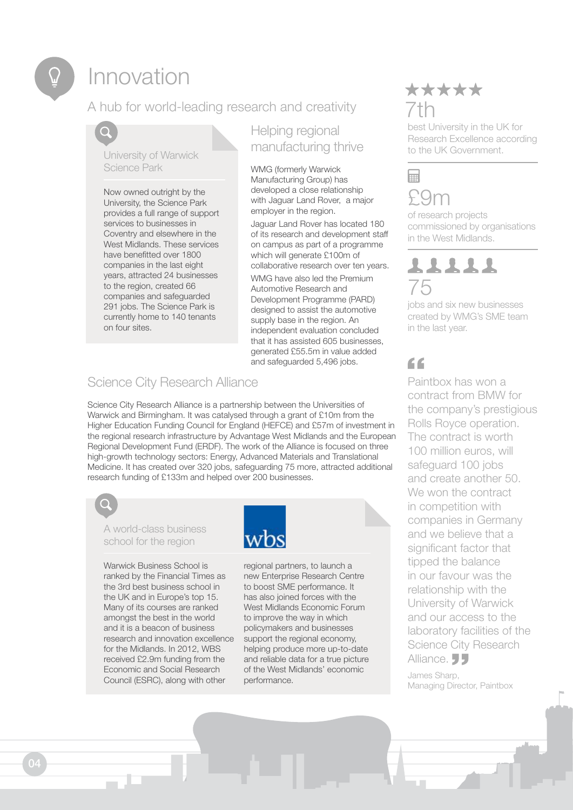# Innovation

### A hub for world-leading research and creativity

University of Warwick Science Park

Now owned outright by the University, the Science Park provides a full range of support services to businesses in Coventry and elsewhere in the West Midlands. These services have benefitted over 1800 companies in the last eight years, attracted 24 businesses to the region, created 66 companies and safeguarded 291 jobs. The Science Park is currently home to 140 tenants on four sites.

#### Helping regional manufacturing thrive

WMG (formerly Warwick Manufacturing Group) has developed a close relationship with Jaguar Land Rover, a major employer in the region.

Jaguar Land Rover has located 180 of its research and development staff on campus as part of a programme which will generate £100m of collaborative research over ten years.

WMG have also led the Premium Automotive Research and Development Programme (PARD) designed to assist the automotive supply base in the region. An independent evaluation concluded that it has assisted 605 businesses, generated £55.5m in value added and safeguarded 5,496 jobs.

#### Science City Research Alliance

Science City Research Alliance is a partnership between the Universities of Warwick and Birmingham. It was catalysed through a grant of £10m from the Higher Education Funding Council for England (HEFCE) and £57m of investment in the regional research infrastructure by Advantage West Midlands and the European Regional Development Fund (ERDF). The work of the Alliance is focused on three high-growth technology sectors: Energy, Advanced Materials and Translational Medicine. It has created over 320 jobs, safeguarding 75 more, attracted additional research funding of £133m and helped over 200 businesses.



Warwick Business School is ranked by the Financial Times as the 3rd best business school in the UK and in Europe's top 15. Many of its courses are ranked amongst the best in the world and it is a beacon of business research and innovation excellence for the Midlands. In 2012, WBS received £2.9m funding from the Economic and Social Research Council (ESRC), along with other



regional partners, to launch a new Enterprise Research Centre to boost SME performance. It has also joined forces with the West Midlands Economic Forum to improve the way in which policymakers and businesses support the regional economy, helping produce more up-to-date and reliable data for a true picture of the West Midlands' economic performance.

## \*\*\*\*\* 7th

best University in the UK for Research Excellence according to the UK Government.

# Ħ £9m

of research projects commissioned by organisations in the West Midlands.

# 11111 75

jobs and six new businesses created by WMG's SME team in the last year.

# $66$

Paintbox has won a contract from BMW for the company's prestigious Rolls Royce operation. The contract is worth 100 million euros, will safeguard 100 jobs and create another 50. We won the contract in competition with companies in Germany and we believe that a significant factor that tipped the balance in our favour was the relationship with the University of Warwick and our access to the laboratory facilities of the Science City Research Alliance. **JJ** 

James Sharp, Managing Director, Paintbox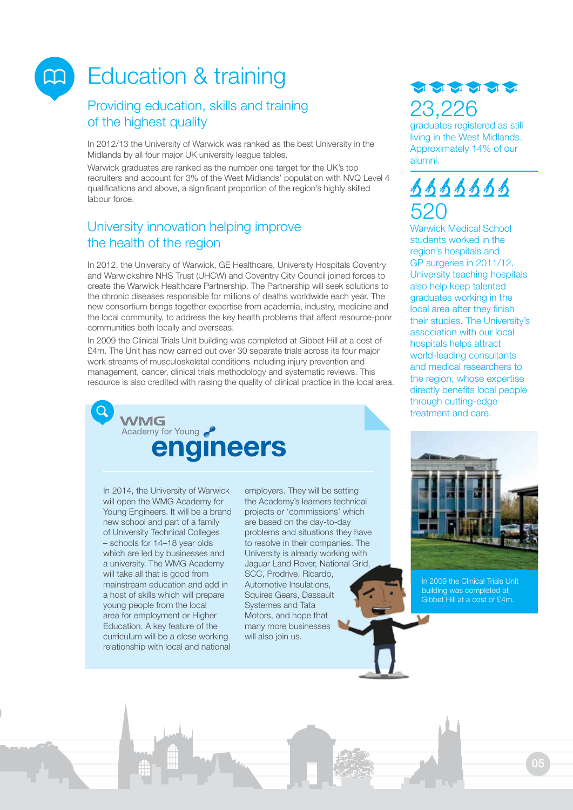# Education & training

 $\Box$ 

#### Providing education, skills and training of the highest quality

In 2012/13 the University of Warwick was ranked as the best University in the Midlands by all four major UK university league tables.

Warwick graduates are ranked as the number one target for the UK's top recruiters and account for 3% of the West Midlands' population with NVQ Level 4 qualifications and above, a significant proportion of the region's highly skilled labour force.

#### University innovation helping improve the health of the region

In 2012, the University of Warwick, GE Healthcare, University Hospitals Coventry and Warwickshire NHS Trust (UHCW) and Coventry City Council joined forces to create the Warwick Healthcare Partnership. The Partnership will seek solutions to the chronic diseases responsible for millions of deaths worldwide each year. The new consortium brings together expertise from academia, industry, medicine and the local community, to address the key health problems that affect resource-poor communities both locally and overseas.

In 2009 the Clinical Trials Unit building was completed at Gibbet Hill at a cost of £4m. The Unit has now carried out over 30 separate trials across its four major work streams of musculoskeletal conditions including injury prevention and management, cancer, clinical trials methodology and systematic reviews. This resource is also credited with raising the quality of clinical practice in the local area.



In 2014, the University of Warwick will open the WMG Academy for Young Engineers. It will be a brand new school and part of a family of University Technical Colleges – schools for 14–18 year olds which are led by businesses and a university. The WMG Academy will take all that is good from mainstream education and add in a host of skills which will prepare young people from the local area for employment or Higher Education. A key feature of the curriculum will be a close working relationship with local and national

employers. They will be setting the Academy's learners technical projects or 'commissions' which are based on the day-to-day problems and situations they have to resolve in their companies. The University is already working with Jaguar Land Rover, National Grid, SCC, Prodrive, Ricardo, Automotive Insulations, Squires Gears, Dassault Systemes and Tata Motors, and hope that many more businesses will also join us.



graduates registered as still living in the West Midlands. Approximately 14% of our alumni.

# 9999999 520

Warwick Medical School students worked in the region's hospitals and GP surgeries in 2011/12. University teaching hospitals also help keep talented graduates working in the local area after they finish their studies. The University's association with our local hospitals helps attract world-leading consultants and medical researchers to the region, whose expertise directly benefits local people through cutting-edge treatment and care.



In 2009 the Clinical Trials Unit building was completed at Gibbet Hill at a cost of £4m.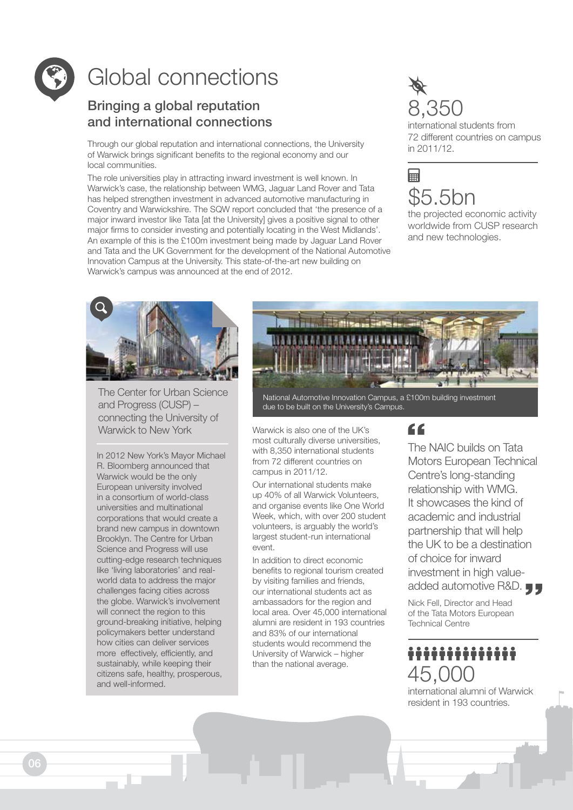

# Global connections

#### Bringing a global reputation and international connections

Through our global reputation and international connections, the University of Warwick brings significant benefits to the regional economy and our local communities.

The role universities play in attracting inward investment is well known. In Warwick's case, the relationship between WMG, Jaguar Land Rover and Tata has helped strengthen investment in advanced automotive manufacturing in Coventry and Warwickshire. The SQW report concluded that 'the presence of a major inward investor like Tata [at the University] gives a positive signal to other major firms to consider investing and potentially locating in the West Midlands'. An example of this is the £100m investment being made by Jaguar Land Rover and Tata and the UK Government for the development of the National Automotive Innovation Campus at the University. This state-of-the-art new building on Warwick's campus was announced at the end of 2012.



international students from 72 different countries on campus in 2011/12.



the projected economic activity worldwide from CUSP research and new technologies.



The Center for Urban Science and Progress (CUSP) – connecting the University of Warwick to New York Warwick is also one of the UK's

In 2012 New York's Mayor Michael R. Bloomberg announced that Warwick would be the only European university involved in a consortium of world-class universities and multinational corporations that would create a brand new campus in downtown Brooklyn. The Centre for Urban Science and Progress will use cutting-edge research techniques like 'living laboratories' and realworld data to address the major challenges facing cities across the globe. Warwick's involvement will connect the region to this ground-breaking initiative, helping policymakers better understand how cities can deliver services more effectively, efficiently, and sustainably, while keeping their citizens safe, healthy, prosperous, and well-informed.



National Automotive Innovation Campus, a £100m building investment due to be built on the University's Campus.

most culturally diverse universities, with 8,350 international students from 72 different countries on campus in 2011/12.

Our international students make up 40% of all Warwick Volunteers, and organise events like One World Week, which, with over 200 student volunteers, is arguably the world's largest student-run international event.

In addition to direct economic benefits to regional tourism created by visiting families and friends, our international students act as ambassadors for the region and local area. Over 45,000 international alumni are resident in 193 countries and 83% of our international students would recommend the University of Warwick – higher than the national average.

### $66$

The NAIC builds on Tata Motors European Technical Centre's long-standing relationship with WMG. It showcases the kind of academic and industrial partnership that will help the UK to be a destination of choice for inward investment in high valueadded automotive R&D.

Nick Fell, Director and Head of the Tata Motors European Technical Centre

### .............. 45,000

international alumni of Warwick resident in 193 countries.

06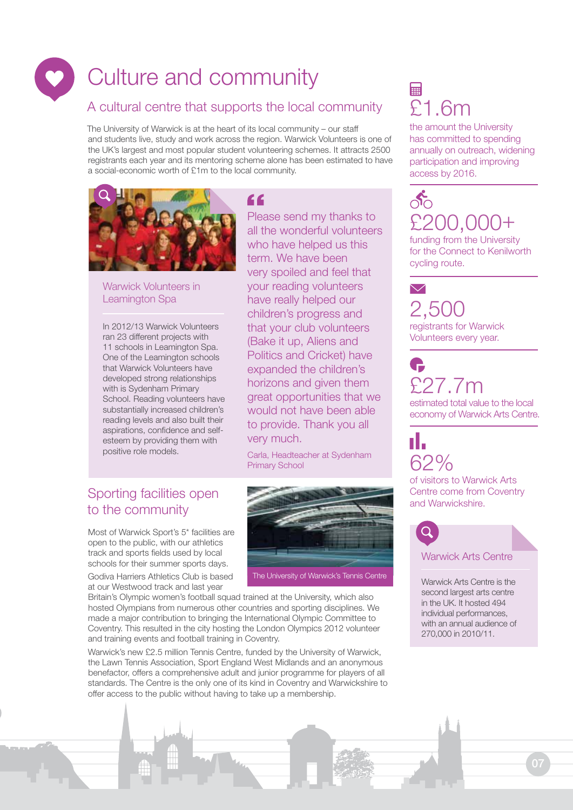# Culture and community

#### A cultural centre that supports the local community

The University of Warwick is at the heart of its local community – our staff and students live, study and work across the region. Warwick Volunteers is one of the UK's largest and most popular student volunteering schemes. It attracts 2500 registrants each year and its mentoring scheme alone has been estimated to have a social-economic worth of £1m to the local community.



#### Warwick Volunteers in Leamington Spa

In 2012/13 Warwick Volunteers ran 23 different projects with 11 schools in Leamington Spa. One of the Leamington schools that Warwick Volunteers have developed strong relationships with is Sydenham Primary School. Reading volunteers have substantially increased children's reading levels and also built their aspirations, confidence and selfesteem by providing them with positive role models.

#### $\epsilon$

Please send my thanks to all the wonderful volunteers who have helped us this term. We have been very spoiled and feel that your reading volunteers have really helped our children's progress and that your club volunteers (Bake it up, Aliens and Politics and Cricket) have expanded the children's horizons and given them great opportunities that we would not have been able to provide. Thank you all very much.

Carla, Headteacher at Sydenham Primary School

# to the community

Most of Warwick Sport's 5\* facilities are open to the public, with our athletics track and sports fields used by local schools for their summer sports days.

Godiva Harriers Athletics Club is based at our Westwood track and last year



Britain's Olympic women's football squad trained at the University, which also hosted Olympians from numerous other countries and sporting disciplines. We made a major contribution to bringing the International Olympic Committee to Coventry. This resulted in the city hosting the London Olympics 2012 volunteer and training events and football training in Coventry.

Warwick's new £2.5 million Tennis Centre, funded by the University of Warwick, the Lawn Tennis Association, Sport England West Midlands and an anonymous benefactor, offers a comprehensive adult and junior programme for players of all standards. The Centre is the only one of its kind in Coventry and Warwickshire to offer access to the public without having to take up a membership.

## 的 £1.6m

the amount the University has committed to spending annually on outreach, widening participation and improving access by 2016.

# $\delta$ £200,00

funding from the University for the Connect to Kenilworth cycling route.

#### $\blacktriangledown$ 2,500 registrants for Warwick Volunteers every year.

£27.7m estimated total value to the local economy of Warwick Arts Centre.

62% of visitors to Warwick Arts Centre come from Coventry

п.



Warwick Arts Centre is the second largest arts centre in the UK. It hosted 494 individual performances, with an annual audience of 270,000 in 2010/11.